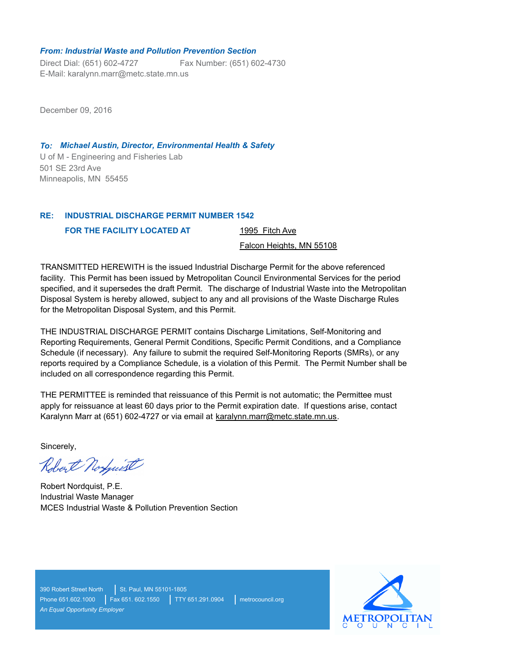#### *From: Industrial Waste and Pollution Prevention Section*

Direct Dial: (651) 602-4727 E-Mail: karalynn.marr@metc.state.mn.us Fax Number: (651) 602-4730

December 09, 2016

U of M - Engineering and Fisheries Lab *To: Michael Austin, Director, Environmental Health & Safety* 501 SE 23rd Ave Minneapolis, MN 55455

#### **INDUSTRIAL DISCHARGE PERMIT NUMBER 1542 RE:**

**FOR THE FACILITY LOCATED AT** 

1995 Fitch Ave

Falcon Heights, MN 55108

TRANSMITTED HEREWITH is the issued Industrial Discharge Permit for the above referenced facility. This Permit has been issued by Metropolitan Council Environmental Services for the period specified, and it supersedes the draft Permit. The discharge of Industrial Waste into the Metropolitan Disposal System is hereby allowed, subject to any and all provisions of the Waste Discharge Rules for the Metropolitan Disposal System, and this Permit.

THE INDUSTRIAL DISCHARGE PERMIT contains Discharge Limitations, Self-Monitoring and Reporting Requirements, General Permit Conditions, Specific Permit Conditions, and a Compliance Schedule (if necessary). Any failure to submit the required Self-Monitoring Reports (SMRs), or any reports required by a Compliance Schedule, is a violation of this Permit. The Permit Number shall be included on all correspondence regarding this Permit.

THE PERMITTEE is reminded that reissuance of this Permit is not automatic; the Permittee must apply for reissuance at least 60 days prior to the Permit expiration date. If questions arise, contact Karalynn Marr at (651) 602-4727 or via email at karalynn.marr@metc.state.mn.us.

Sincerely,

Robert Norfwist

Robert Nordquist, P.E. Industrial Waste Manager MCES Industrial Waste & Pollution Prevention Section

390 Robert Street North St. Paul, MN 55101-1805 Phone 651.602.1000 Fax 651. 602.1550 TTY 651.291.0904 metrocouncil.org *An Equal Opportunity Employer*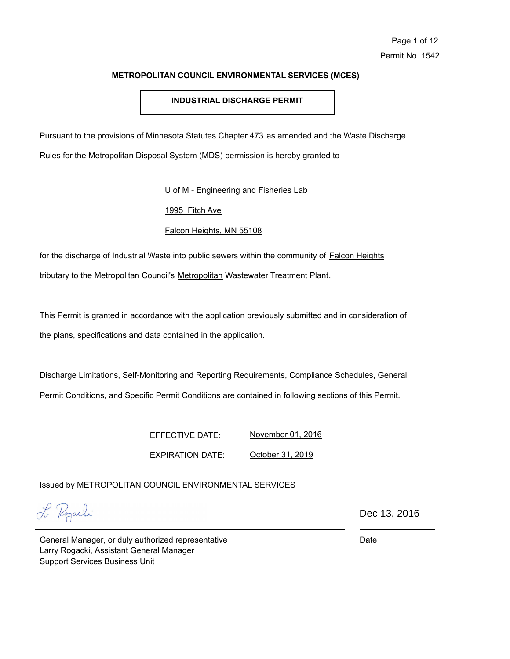# **INDUSTRIAL DISCHARGE PERMIT**

Pursuant to the provisions of Minnesota Statutes Chapter 473 as amended and the Waste Discharge

Rules for the Metropolitan Disposal System (MDS) permission is hereby granted to

U of M - Engineering and Fisheries Lab

# 1995 Fitch Ave

# Falcon Heights, MN 55108

for the discharge of Industrial Waste into public sewers within the community of Falcon Heights tributary to the Metropolitan Council's Metropolitan Wastewater Treatment Plant.

This Permit is granted in accordance with the application previously submitted and in consideration of the plans, specifications and data contained in the application.

Discharge Limitations, Self-Monitoring and Reporting Requirements, Compliance Schedules, General Permit Conditions, and Specific Permit Conditions are contained in following sections of this Permit.

> EFFECTIVE DATE: November 01, 2016

> > October 31, 2019

Issued by METROPOLITAN COUNCIL ENVIRONMENTAL SERVICES

EXPIRATION DATE:

L Pogarki

Dec 13, 2016

General Manager, or duly authorized representative Larry Rogacki, Assistant General Manager Support Services Business Unit

Date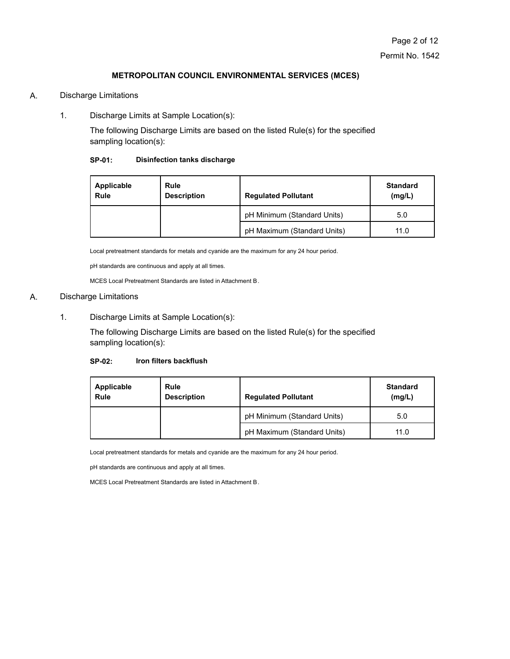#### A. Discharge Limitations

1. Discharge Limits at Sample Location(s):

The following Discharge Limits are based on the listed Rule(s) for the specified sampling location(s):

#### **SP-01: Disinfection tanks discharge**

| Applicable<br>Rule | <b>Rule</b><br><b>Description</b> | <b>Regulated Pollutant</b>  | <b>Standard</b><br>(mg/L) |
|--------------------|-----------------------------------|-----------------------------|---------------------------|
|                    |                                   | pH Minimum (Standard Units) | 5.0                       |
|                    |                                   | pH Maximum (Standard Units) | 11.0                      |

Local pretreatment standards for metals and cyanide are the maximum for any 24 hour period.

pH standards are continuous and apply at all times.

MCES Local Pretreatment Standards are listed in Attachment B.

#### A. Discharge Limitations

1. Discharge Limits at Sample Location(s):

The following Discharge Limits are based on the listed Rule(s) for the specified sampling location(s):

#### **SP-02: Iron filters backflush**

| Applicable<br>Rule | Rule<br><b>Description</b> | <b>Regulated Pollutant</b>  | Standard<br>(mg/L) |
|--------------------|----------------------------|-----------------------------|--------------------|
|                    |                            | pH Minimum (Standard Units) | 5.0                |
|                    |                            | pH Maximum (Standard Units) | 11.0               |

Local pretreatment standards for metals and cyanide are the maximum for any 24 hour period.

pH standards are continuous and apply at all times.

MCES Local Pretreatment Standards are listed in Attachment B.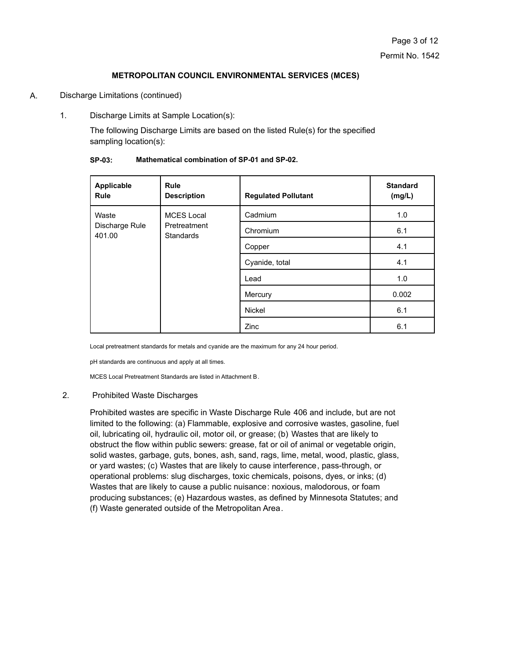#### A. Discharge Limitations (continued)

1. Discharge Limits at Sample Location(s):

The following Discharge Limits are based on the listed Rule(s) for the specified sampling location(s):

| Applicable<br><b>Rule</b>                                                                  | <b>Rule</b><br><b>Description</b> | <b>Regulated Pollutant</b> | <b>Standard</b><br>(mg/L) |
|--------------------------------------------------------------------------------------------|-----------------------------------|----------------------------|---------------------------|
| Waste<br><b>MCES Local</b><br>Discharge Rule<br>Pretreatment<br>401.00<br><b>Standards</b> |                                   | Cadmium                    | 1.0                       |
|                                                                                            |                                   | Chromium                   | 6.1                       |
|                                                                                            |                                   | Copper                     | 4.1                       |
|                                                                                            |                                   | Cyanide, total             | 4.1                       |
|                                                                                            |                                   | Lead                       | 1.0                       |
|                                                                                            |                                   | Mercury                    | 0.002                     |
|                                                                                            |                                   | <b>Nickel</b>              | 6.1                       |
|                                                                                            |                                   | Zinc                       | 6.1                       |

#### **SP-03: Mathematical combination of SP-01 and SP-02.**

Local pretreatment standards for metals and cyanide are the maximum for any 24 hour period.

pH standards are continuous and apply at all times.

MCES Local Pretreatment Standards are listed in Attachment B.

#### 2. Prohibited Waste Discharges

Prohibited wastes are specific in Waste Discharge Rule 406 and include, but are not limited to the following: (a) Flammable, explosive and corrosive wastes, gasoline, fuel oil, lubricating oil, hydraulic oil, motor oil, or grease; (b) Wastes that are likely to obstruct the flow within public sewers: grease, fat or oil of animal or vegetable origin, solid wastes, garbage, guts, bones, ash, sand, rags, lime, metal, wood, plastic, glass, or yard wastes; (c) Wastes that are likely to cause interference, pass-through, or operational problems: slug discharges, toxic chemicals, poisons, dyes, or inks; (d) Wastes that are likely to cause a public nuisance: noxious, malodorous, or foam producing substances; (e) Hazardous wastes, as defined by Minnesota Statutes; and (f) Waste generated outside of the Metropolitan Area.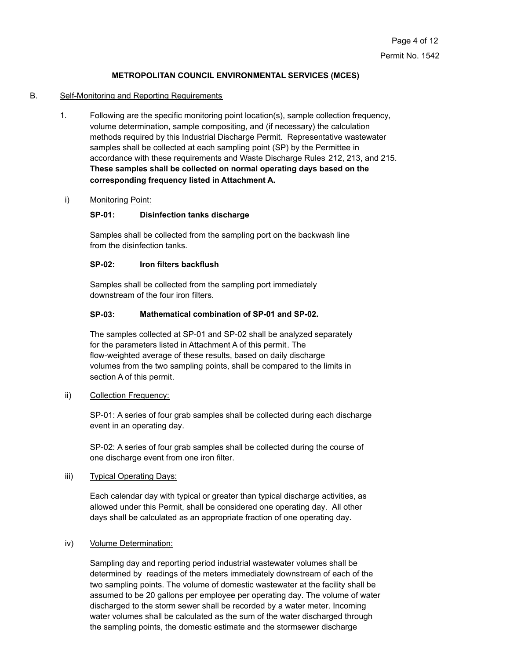# B. Self-Monitoring and Reporting Requirements

1. Following are the specific monitoring point location(s), sample collection frequency, volume determination, sample compositing, and (if necessary) the calculation methods required by this Industrial Discharge Permit. Representative wastewater samples shall be collected at each sampling point (SP) by the Permittee in accordance with these requirements and Waste Discharge Rules 212, 213, and 215. **These samples shall be collected on normal operating days based on the corresponding frequency listed in Attachment A.**

#### i) Monitoring Point:

#### **SP-01: Disinfection tanks discharge**

Samples shall be collected from the sampling port on the backwash line from the disinfection tanks.

#### **SP-02: Iron filters backflush**

Samples shall be collected from the sampling port immediately downstream of the four iron filters.

#### **SP-03: Mathematical combination of SP-01 and SP-02.**

The samples collected at SP-01 and SP-02 shall be analyzed separately for the parameters listed in Attachment A of this permit. The flow-weighted average of these results, based on daily discharge volumes from the two sampling points, shall be compared to the limits in section A of this permit.

#### ii) Collection Frequency:

SP-01: A series of four grab samples shall be collected during each discharge event in an operating day.

SP-02: A series of four grab samples shall be collected during the course of one discharge event from one iron filter.

#### iii) Typical Operating Days:

Each calendar day with typical or greater than typical discharge activities, as allowed under this Permit, shall be considered one operating day. All other days shall be calculated as an appropriate fraction of one operating day.

#### iv) Volume Determination:

Sampling day and reporting period industrial wastewater volumes shall be determined by readings of the meters immediately downstream of each of the two sampling points. The volume of domestic wastewater at the facility shall be assumed to be 20 gallons per employee per operating day. The volume of water discharged to the storm sewer shall be recorded by a water meter. Incoming water volumes shall be calculated as the sum of the water discharged through the sampling points, the domestic estimate and the stormsewer discharge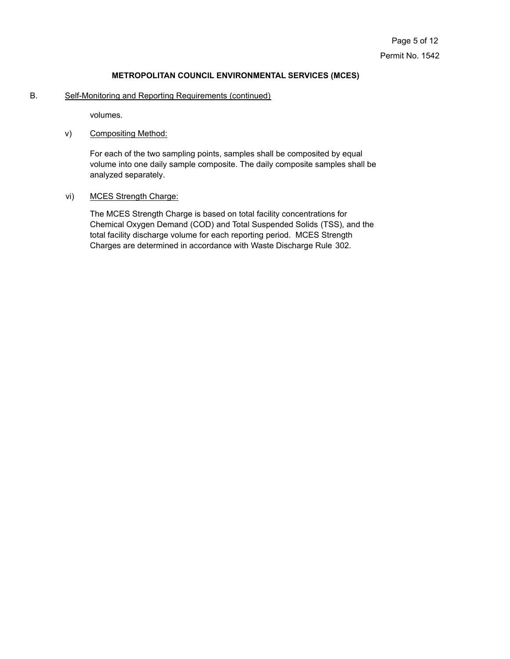B. Self-Monitoring and Reporting Requirements (continued)

volumes.

v) Compositing Method:

For each of the two sampling points, samples shall be composited by equal volume into one daily sample composite. The daily composite samples shall be analyzed separately.

vi) MCES Strength Charge:

The MCES Strength Charge is based on total facility concentrations for Chemical Oxygen Demand (COD) and Total Suspended Solids (TSS), and the total facility discharge volume for each reporting period. MCES Strength Charges are determined in accordance with Waste Discharge Rule 302.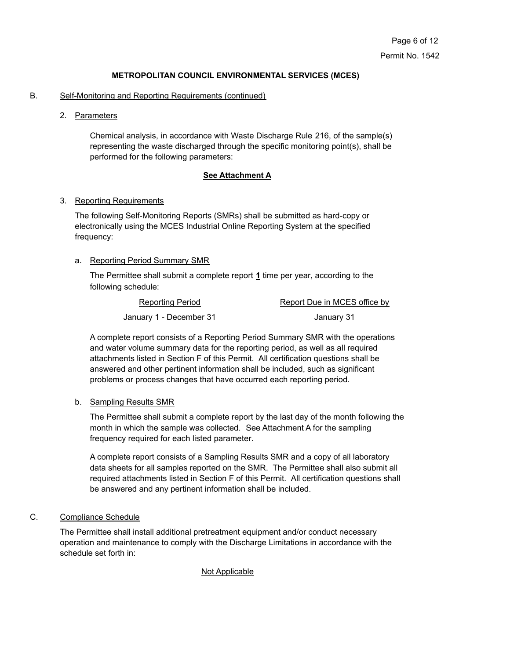#### B. Self-Monitoring and Reporting Requirements (continued)

2. Parameters

Chemical analysis, in accordance with Waste Discharge Rule 216, of the sample(s) representing the waste discharged through the specific monitoring point(s), shall be performed for the following parameters:

#### **See Attachment A**

#### 3. Reporting Requirements

The following Self-Monitoring Reports (SMRs) shall be submitted as hard-copy or electronically using the MCES Industrial Online Reporting System at the specified frequency:

# a. Reporting Period Summary SMR

The Permittee shall submit a complete report **1** time per year, according to the following schedule:

| Reporting Period        | Report Due in MCES office by |  |
|-------------------------|------------------------------|--|
| January 1 - December 31 | January 31                   |  |

A complete report consists of a Reporting Period Summary SMR with the operations and water volume summary data for the reporting period, as well as all required attachments listed in Section F of this Permit. All certification questions shall be answered and other pertinent information shall be included, such as significant problems or process changes that have occurred each reporting period.

#### b. Sampling Results SMR

The Permittee shall submit a complete report by the last day of the month following the month in which the sample was collected. See Attachment A for the sampling frequency required for each listed parameter.

A complete report consists of a Sampling Results SMR and a copy of all laboratory data sheets for all samples reported on the SMR. The Permittee shall also submit all required attachments listed in Section F of this Permit. All certification questions shall be answered and any pertinent information shall be included.

# C. Compliance Schedule

The Permittee shall install additional pretreatment equipment and/or conduct necessary operation and maintenance to comply with the Discharge Limitations in accordance with the schedule set forth in:

## Not Applicable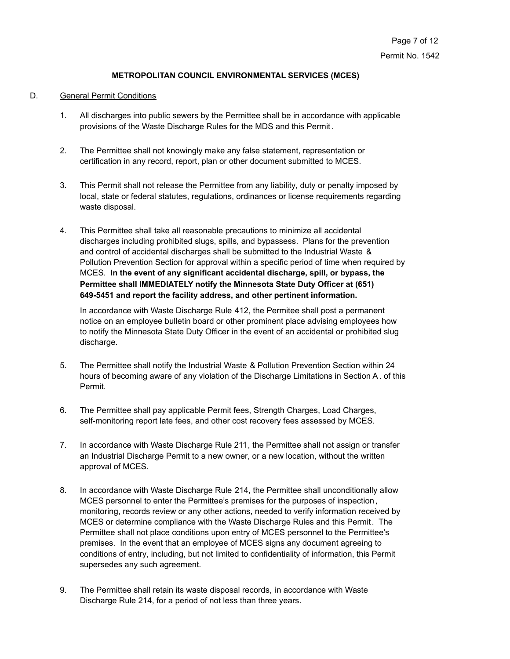#### D. General Permit Conditions

- 1. All discharges into public sewers by the Permittee shall be in accordance with applicable provisions of the Waste Discharge Rules for the MDS and this Permit.
- 2. The Permittee shall not knowingly make any false statement, representation or certification in any record, report, plan or other document submitted to MCES.
- 3. This Permit shall not release the Permittee from any liability, duty or penalty imposed by local, state or federal statutes, regulations, ordinances or license requirements regarding waste disposal.
- 4. This Permittee shall take all reasonable precautions to minimize all accidental discharges including prohibited slugs, spills, and bypassess. Plans for the prevention and control of accidental discharges shall be submitted to the Industrial Waste & Pollution Prevention Section for approval within a specific period of time when required by MCES. **In the event of any significant accidental discharge, spill, or bypass, the Permittee shall IMMEDIATELY notify the Minnesota State Duty Officer at (651) 649-5451 and report the facility address, and other pertinent information.**

In accordance with Waste Discharge Rule 412, the Permitee shall post a permanent notice on an employee bulletin board or other prominent place advising employees how to notify the Minnesota State Duty Officer in the event of an accidental or prohibited slug discharge.

- 5. The Permittee shall notify the Industrial Waste & Pollution Prevention Section within 24 hours of becoming aware of any violation of the Discharge Limitations in Section A. of this Permit.
- 6. The Permittee shall pay applicable Permit fees, Strength Charges, Load Charges, self-monitoring report late fees, and other cost recovery fees assessed by MCES.
- 7. In accordance with Waste Discharge Rule 211, the Permittee shall not assign or transfer an Industrial Discharge Permit to a new owner, or a new location, without the written approval of MCES.
- 8. In accordance with Waste Discharge Rule 214, the Permittee shall unconditionally allow MCES personnel to enter the Permittee's premises for the purposes of inspection, monitoring, records review or any other actions, needed to verify information received by MCES or determine compliance with the Waste Discharge Rules and this Permit. The Permittee shall not place conditions upon entry of MCES personnel to the Permittee's premises. In the event that an employee of MCES signs any document agreeing to conditions of entry, including, but not limited to confidentiality of information, this Permit supersedes any such agreement.
- 9. The Permittee shall retain its waste disposal records, in accordance with Waste Discharge Rule 214, for a period of not less than three years.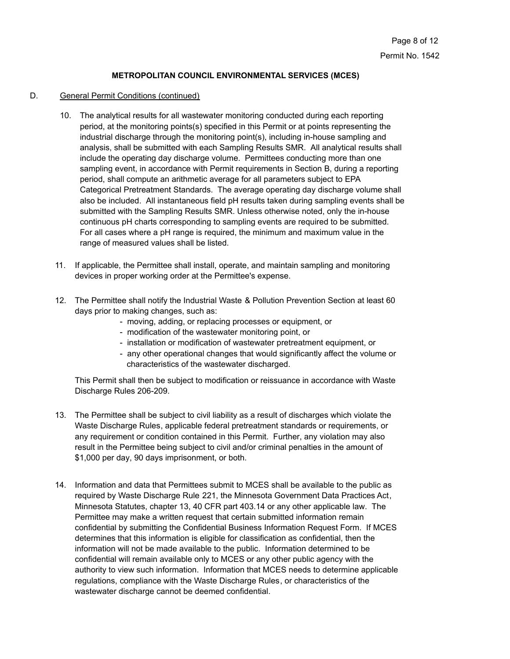# D. General Permit Conditions (continued)

- 10. The analytical results for all wastewater monitoring conducted during each reporting period, at the monitoring points(s) specified in this Permit or at points representing the industrial discharge through the monitoring point(s), including in-house sampling and analysis, shall be submitted with each Sampling Results SMR. All analytical results shall include the operating day discharge volume. Permittees conducting more than one sampling event, in accordance with Permit requirements in Section B, during a reporting period, shall compute an arithmetic average for all parameters subject to EPA Categorical Pretreatment Standards. The average operating day discharge volume shall also be included. All instantaneous field pH results taken during sampling events shall be submitted with the Sampling Results SMR. Unless otherwise noted, only the in-house continuous pH charts corresponding to sampling events are required to be submitted. For all cases where a pH range is required, the minimum and maximum value in the range of measured values shall be listed.
- 11. If applicable, the Permittee shall install, operate, and maintain sampling and monitoring devices in proper working order at the Permittee's expense.
- 12. The Permittee shall notify the Industrial Waste & Pollution Prevention Section at least 60 days prior to making changes, such as:
	- moving, adding, or replacing processes or equipment, or
	- modification of the wastewater monitoring point, or
	- installation or modification of wastewater pretreatment equipment, or
	- any other operational changes that would significantly affect the volume or characteristics of the wastewater discharged.

This Permit shall then be subject to modification or reissuance in accordance with Waste Discharge Rules 206-209.

- 13. The Permittee shall be subject to civil liability as a result of discharges which violate the Waste Discharge Rules, applicable federal pretreatment standards or requirements, or any requirement or condition contained in this Permit. Further, any violation may also result in the Permittee being subject to civil and/or criminal penalties in the amount of \$1,000 per day, 90 days imprisonment, or both.
- 14. Information and data that Permittees submit to MCES shall be available to the public as required by Waste Discharge Rule 221, the Minnesota Government Data Practices Act, Minnesota Statutes, chapter 13, 40 CFR part 403.14 or any other applicable law. The Permittee may make a written request that certain submitted information remain confidential by submitting the Confidential Business Information Request Form. If MCES determines that this information is eligible for classification as confidential, then the information will not be made available to the public. Information determined to be confidential will remain available only to MCES or any other public agency with the authority to view such information. Information that MCES needs to determine applicable regulations, compliance with the Waste Discharge Rules, or characteristics of the wastewater discharge cannot be deemed confidential.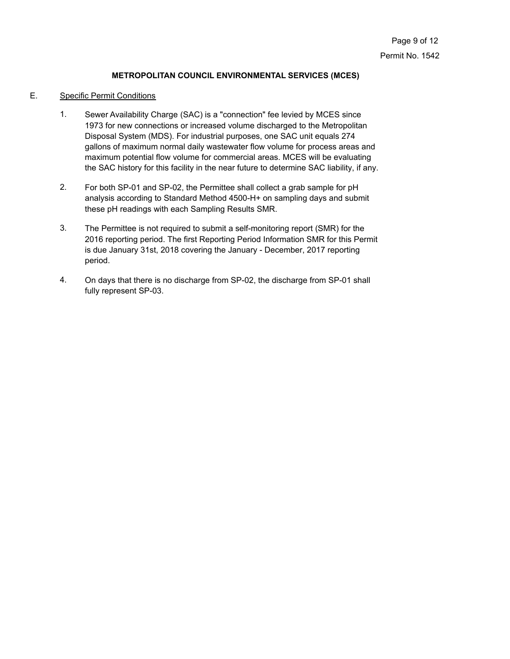### E. Specific Permit Conditions

- Sewer Availability Charge (SAC) is a "connection" fee levied by MCES since 1973 for new connections or increased volume discharged to the Metropolitan Disposal System (MDS). For industrial purposes, one SAC unit equals 274 gallons of maximum normal daily wastewater flow volume for process areas and maximum potential flow volume for commercial areas. MCES will be evaluating the SAC history for this facility in the near future to determine SAC liability, if any. 1.
- For both SP-01 and SP-02, the Permittee shall collect a grab sample for pH analysis according to Standard Method 4500-H+ on sampling days and submit these pH readings with each Sampling Results SMR. 2.
- The Permittee is not required to submit a self-monitoring report (SMR) for the 2016 reporting period. The first Reporting Period Information SMR for this Permit is due January 31st, 2018 covering the January - December, 2017 reporting period. 3.
- On days that there is no discharge from SP-02, the discharge from SP-01 shall fully represent SP-03. 4.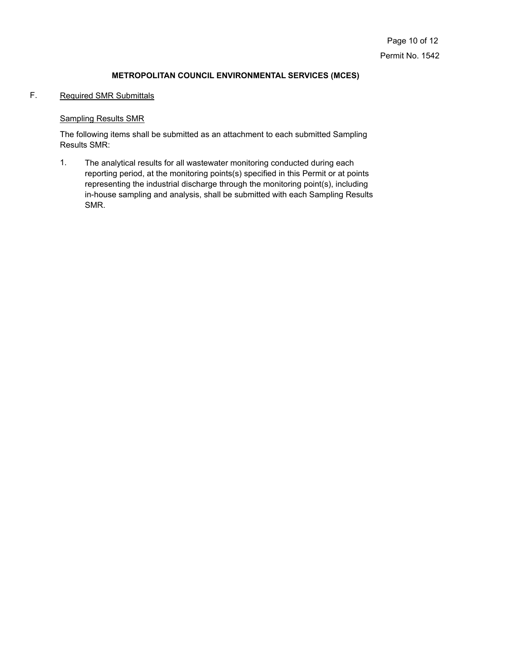# F. Required SMR Submittals

# Sampling Results SMR

The following items shall be submitted as an attachment to each submitted Sampling Results SMR:

The analytical results for all wastewater monitoring conducted during each reporting period, at the monitoring points(s) specified in this Permit or at points representing the industrial discharge through the monitoring point(s), including in-house sampling and analysis, shall be submitted with each Sampling Results SMR. 1.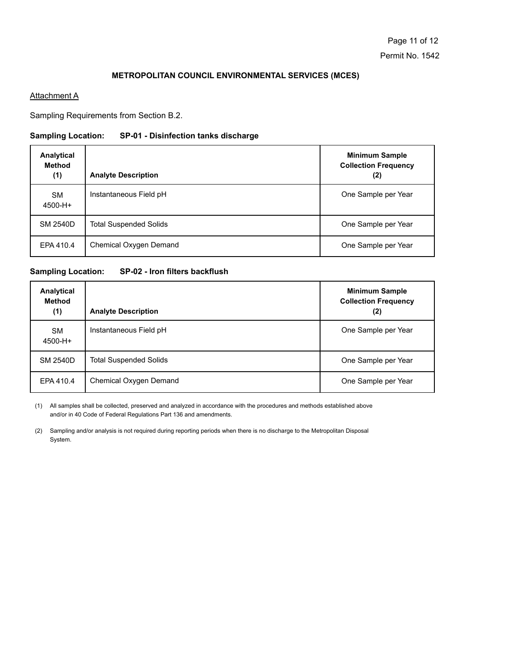### **Attachment A**

Sampling Requirements from Section B.2.

# **Sampling Location: SP-01 - Disinfection tanks discharge**

| Analytical<br><b>Method</b><br>(1) | <b>Analyte Description</b>    | <b>Minimum Sample</b><br><b>Collection Frequency</b><br>(2) |
|------------------------------------|-------------------------------|-------------------------------------------------------------|
| <b>SM</b><br>4500-H+               | Instantaneous Field pH        | One Sample per Year                                         |
| <b>SM 2540D</b>                    | <b>Total Suspended Solids</b> | One Sample per Year                                         |
| EPA 410.4                          | Chemical Oxygen Demand        | One Sample per Year                                         |

# **Sampling Location: SP-02 - Iron filters backflush**

| Analytical<br><b>Method</b><br>(1) | <b>Analyte Description</b>    | <b>Minimum Sample</b><br><b>Collection Frequency</b><br>(2) |
|------------------------------------|-------------------------------|-------------------------------------------------------------|
| <b>SM</b><br>4500-H+               | Instantaneous Field pH        | One Sample per Year                                         |
| <b>SM 2540D</b>                    | <b>Total Suspended Solids</b> | One Sample per Year                                         |
| EPA 410.4                          | Chemical Oxygen Demand        | One Sample per Year                                         |

All samples shall be collected, preserved and analyzed in accordance with the procedures and methods established above (1) and/or in 40 Code of Federal Regulations Part 136 and amendments.

(2) Sampling and/or analysis is not required during reporting periods when there is no discharge to the Metropolitan Disposal System.